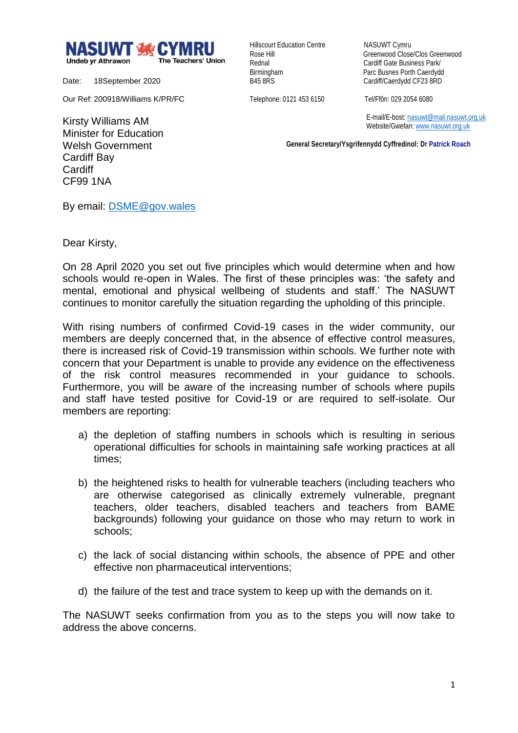

Date: 18September 2020

Our Ref: 200918/Williams K/PR/FC

Hillscourt Education Centre NASUWT Cymru

Rose Hill Greenwood Close/Clos Greenwood Rednal **Cardiff Gate Business Park/** Birmingham Parc Busnes Porth Caerdydd<br>
B45 8RS<br>
Cardiff/Caerdydd CF23 8RD Cardiff/Caerdydd CF23 8RD

Telephone: 0121 453 6150 Tel/Ffôn: 029 2054 6080

 E-mail/E-bost[: nasuwt@mail.nasuwt.org.uk](mailto:nasuwt@mail.nasuwt.org.uk) Website/Gwefan: [www.nasuwt.org.uk](http://www.nasuwt.org.uk/)

 **General Secretary/Ysgrifennydd Cyffredinol: Dr Patrick Roach**

Kirsty Williams AM Minister for Education Welsh Government Cardiff Bay **Cardiff** CF99 1NA

By email: [DSME@gov.wales](mailto:DSME@gov.wales)

Dear Kirsty,

On 28 April 2020 you set out five principles which would determine when and how schools would re-open in Wales. The first of these principles was: 'the safety and mental, emotional and physical wellbeing of students and staff.' The NASUWT continues to monitor carefully the situation regarding the upholding of this principle.

With rising numbers of confirmed Covid-19 cases in the wider community, our members are deeply concerned that, in the absence of effective control measures, there is increased risk of Covid-19 transmission within schools. We further note with concern that your Department is unable to provide any evidence on the effectiveness of the risk control measures recommended in your guidance to schools. Furthermore, you will be aware of the increasing number of schools where pupils and staff have tested positive for Covid-19 or are required to self-isolate. Our members are reporting:

- a) the depletion of staffing numbers in schools which is resulting in serious operational difficulties for schools in maintaining safe working practices at all times;
- b) the heightened risks to health for vulnerable teachers (including teachers who are otherwise categorised as clinically extremely vulnerable, pregnant teachers, older teachers, disabled teachers and teachers from BAME backgrounds) following your guidance on those who may return to work in schools;
- c) the lack of social distancing within schools, the absence of PPE and other effective non pharmaceutical interventions;
- d) the failure of the test and trace system to keep up with the demands on it.

The NASUWT seeks confirmation from you as to the steps you will now take to address the above concerns.